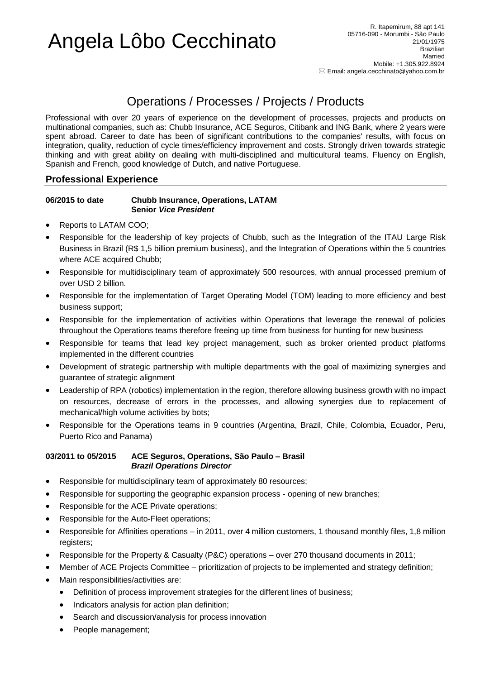# Angela Lôbo Cecchinato

## Operations / Processes / Projects / Products

Professional with over 20 years of experience on the development of processes, projects and products on multinational companies, such as: Chubb Insurance, ACE Seguros, Citibank and ING Bank, where 2 years were spent abroad. Career to date has been of significant contributions to the companies' results, with focus on integration, quality, reduction of cycle times/efficiency improvement and costs. Strongly driven towards strategic thinking and with great ability on dealing with multi-disciplined and multicultural teams. Fluency on English, Spanish and French, good knowledge of Dutch, and native Portuguese.

### **Professional Experience**

#### **06/2015 to date Chubb Insurance, Operations, LATAM Senior** *Vice President*

- Reports to LATAM COO;
- Responsible for the leadership of key projects of Chubb, such as the Integration of the ITAU Large Risk Business in Brazil (R\$ 1,5 billion premium business), and the Integration of Operations within the 5 countries where ACE acquired Chubb;
- Responsible for multidisciplinary team of approximately 500 resources, with annual processed premium of over USD 2 billion.
- Responsible for the implementation of Target Operating Model (TOM) leading to more efficiency and best business support;
- Responsible for the implementation of activities within Operations that leverage the renewal of policies throughout the Operations teams therefore freeing up time from business for hunting for new business
- Responsible for teams that lead key project management, such as broker oriented product platforms implemented in the different countries
- Development of strategic partnership with multiple departments with the goal of maximizing synergies and guarantee of strategic alignment
- Leadership of RPA (robotics) implementation in the region, therefore allowing business growth with no impact on resources, decrease of errors in the processes, and allowing synergies due to replacement of mechanical/high volume activities by bots;
- Responsible for the Operations teams in 9 countries (Argentina, Brazil, Chile, Colombia, Ecuador, Peru, Puerto Rico and Panama)

#### **03/2011 to 05/2015 ACE Seguros, Operations, São Paulo – Brasil** *Brazil Operations Director*

- Responsible for multidisciplinary team of approximately 80 resources;
- Responsible for supporting the geographic expansion process opening of new branches;
- Responsible for the ACE Private operations;
- Responsible for the Auto-Fleet operations;
- Responsible for Affinities operations in 2011, over 4 million customers, 1 thousand monthly files, 1,8 million registers;
- Responsible for the Property & Casualty (P&C) operations over 270 thousand documents in 2011;
- Member of ACE Projects Committee prioritization of projects to be implemented and strategy definition;
- Main responsibilities/activities are:
	- Definition of process improvement strategies for the different lines of business;
	- Indicators analysis for action plan definition;
	- Search and discussion/analysis for process innovation
	- People management;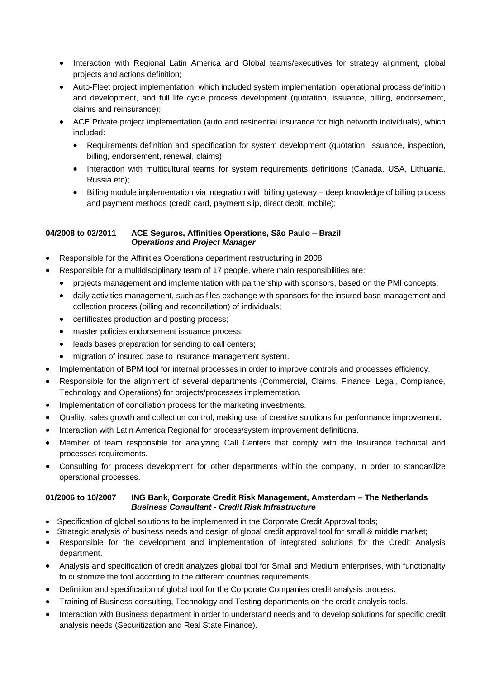- Interaction with Regional Latin America and Global teams/executives for strategy alignment, global projects and actions definition;
- Auto-Fleet project implementation, which included system implementation, operational process definition and development, and full life cycle process development (quotation, issuance, billing, endorsement, claims and reinsurance);
- ACE Private project implementation (auto and residential insurance for high networth individuals), which included:
	- Requirements definition and specification for system development (quotation, issuance, inspection, billing, endorsement, renewal, claims);
	- Interaction with multicultural teams for system requirements definitions (Canada, USA, Lithuania, Russia etc);
	- Billing module implementation via integration with billing gateway deep knowledge of billing process and payment methods (credit card, payment slip, direct debit, mobile);

#### **04/2008 to 02/2011 ACE Seguros, Affinities Operations, São Paulo – Brazil** *Operations and Project Manager*

- Responsible for the Affinities Operations department restructuring in 2008
- Responsible for a multidisciplinary team of 17 people, where main responsibilities are:
	- projects management and implementation with partnership with sponsors, based on the PMI concepts;
	- daily activities management, such as files exchange with sponsors for the insured base management and collection process (billing and reconciliation) of individuals;
	- certificates production and posting process;
	- master policies endorsement issuance process;
	- leads bases preparation for sending to call centers;
	- migration of insured base to insurance management system.
- Implementation of BPM tool for internal processes in order to improve controls and processes efficiency.
- Responsible for the alignment of several departments (Commercial, Claims, Finance, Legal, Compliance, Technology and Operations) for projects/processes implementation.
- Implementation of conciliation process for the marketing investments.
- Quality, sales growth and collection control, making use of creative solutions for performance improvement.
- Interaction with Latin America Regional for process/system improvement definitions.
- Member of team responsible for analyzing Call Centers that comply with the Insurance technical and processes requirements.
- Consulting for process development for other departments within the company, in order to standardize operational processes.

#### **01/2006 to 10/2007 ING Bank, Corporate Credit Risk Management, Amsterdam – The Netherlands** *Business Consultant - Credit Risk Infrastructure*

- Specification of global solutions to be implemented in the Corporate Credit Approval tools;
- Strategic analysis of business needs and design of global credit approval tool for small & middle market;
- Responsible for the development and implementation of integrated solutions for the Credit Analysis department.
- Analysis and specification of credit analyzes global tool for Small and Medium enterprises, with functionality to customize the tool according to the different countries requirements.
- Definition and specification of global tool for the Corporate Companies credit analysis process.
- Training of Business consulting, Technology and Testing departments on the credit analysis tools.
- Interaction with Business department in order to understand needs and to develop solutions for specific credit analysis needs (Securitization and Real State Finance).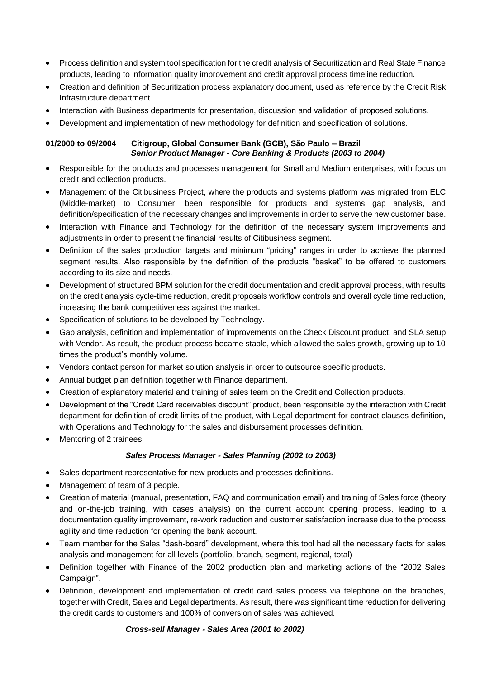- Process definition and system tool specification for the credit analysis of Securitization and Real State Finance products, leading to information quality improvement and credit approval process timeline reduction.
- Creation and definition of Securitization process explanatory document, used as reference by the Credit Risk Infrastructure department.
- Interaction with Business departments for presentation, discussion and validation of proposed solutions.
- Development and implementation of new methodology for definition and specification of solutions.

#### **01/2000 to 09/2004 Citigroup, Global Consumer Bank (GCB), São Paulo – Brazil** *Senior Product Manager - Core Banking & Products (2003 to 2004)*

- Responsible for the products and processes management for Small and Medium enterprises, with focus on credit and collection products.
- Management of the Citibusiness Project, where the products and systems platform was migrated from ELC (Middle-market) to Consumer, been responsible for products and systems gap analysis, and definition/specification of the necessary changes and improvements in order to serve the new customer base.
- Interaction with Finance and Technology for the definition of the necessary system improvements and adjustments in order to present the financial results of Citibusiness segment.
- Definition of the sales production targets and minimum "pricing" ranges in order to achieve the planned segment results. Also responsible by the definition of the products "basket" to be offered to customers according to its size and needs.
- Development of structured BPM solution for the credit documentation and credit approval process, with results on the credit analysis cycle-time reduction, credit proposals workflow controls and overall cycle time reduction, increasing the bank competitiveness against the market.
- Specification of solutions to be developed by Technology.
- Gap analysis, definition and implementation of improvements on the Check Discount product, and SLA setup with Vendor. As result, the product process became stable, which allowed the sales growth, growing up to 10 times the product's monthly volume.
- Vendors contact person for market solution analysis in order to outsource specific products.
- Annual budget plan definition together with Finance department.
- Creation of explanatory material and training of sales team on the Credit and Collection products.
- Development of the "Credit Card receivables discount" product, been responsible by the interaction with Credit department for definition of credit limits of the product, with Legal department for contract clauses definition, with Operations and Technology for the sales and disbursement processes definition.
- Mentoring of 2 trainees.

#### *Sales Process Manager - Sales Planning (2002 to 2003)*

- Sales department representative for new products and processes definitions.
- Management of team of 3 people.
- Creation of material (manual, presentation, FAQ and communication email) and training of Sales force (theory and on-the-job training, with cases analysis) on the current account opening process, leading to a documentation quality improvement, re-work reduction and customer satisfaction increase due to the process agility and time reduction for opening the bank account.
- Team member for the Sales "dash-board" development, where this tool had all the necessary facts for sales analysis and management for all levels (portfolio, branch, segment, regional, total)
- Definition together with Finance of the 2002 production plan and marketing actions of the "2002 Sales Campaign".
- Definition, development and implementation of credit card sales process via telephone on the branches, together with Credit, Sales and Legal departments. As result, there was significant time reduction for delivering the credit cards to customers and 100% of conversion of sales was achieved.

#### *Cross-sell Manager - Sales Area (2001 to 2002)*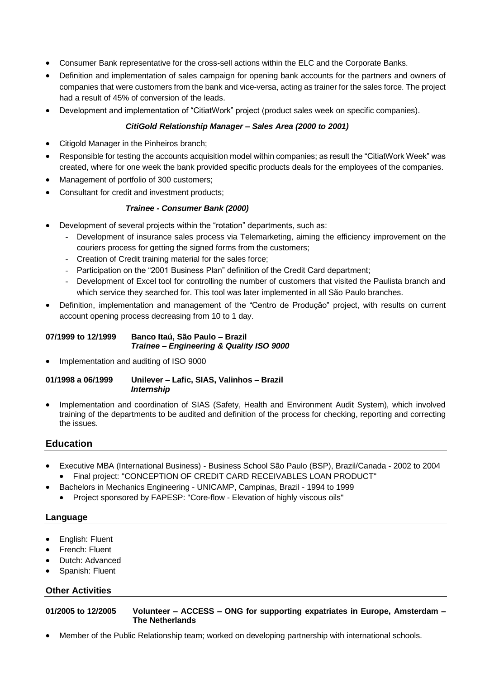- Consumer Bank representative for the cross-sell actions within the ELC and the Corporate Banks.
- Definition and implementation of sales campaign for opening bank accounts for the partners and owners of companies that were customers from the bank and vice-versa, acting as trainer for the sales force. The project had a result of 45% of conversion of the leads.
- Development and implementation of "CitiatWork" project (product sales week on specific companies).

#### *CitiGold Relationship Manager – Sales Area (2000 to 2001)*

- Citigold Manager in the Pinheiros branch;
- Responsible for testing the accounts acquisition model within companies; as result the "CitiatWork Week" was created, where for one week the bank provided specific products deals for the employees of the companies.
- Management of portfolio of 300 customers;
- Consultant for credit and investment products;

#### *Trainee - Consumer Bank (2000)*

- Development of several projects within the "rotation" departments, such as:
	- Development of insurance sales process via Telemarketing, aiming the efficiency improvement on the couriers process for getting the signed forms from the customers;
	- Creation of Credit training material for the sales force;
	- Participation on the "2001 Business Plan" definition of the Credit Card department;
	- Development of Excel tool for controlling the number of customers that visited the Paulista branch and which service they searched for. This tool was later implemented in all São Paulo branches.
- Definition, implementation and management of the "Centro de Produção" project, with results on current account opening process decreasing from 10 to 1 day.

#### **07/1999 to 12/1999 Banco Itaú, São Paulo – Brazil** *Trainee – Engineering & Quality ISO 9000*

• Implementation and auditing of ISO 9000

#### **01/1998 a 06/1999 Unilever – Lafic, SIAS, Valinhos – Brazil** *Internship*

• Implementation and coordination of SIAS (Safety, Health and Environment Audit System), which involved training of the departments to be audited and definition of the process for checking, reporting and correcting the issues.

#### **Education**

- Executive MBA (International Business) Business School São Paulo (BSP), Brazil/Canada 2002 to 2004 • Final project: "CONCEPTION OF CREDIT CARD RECEIVABLES LOAN PRODUCT"
- Bachelors in Mechanics Engineering UNICAMP, Campinas, Brazil 1994 to 1999
	- Project sponsored by FAPESP: "Core-flow Elevation of highly viscous oils"

#### **Language**

- English: Fluent
- French: Fluent
- Dutch: Advanced
- Spanish: Fluent

#### **Other Activities**

**01/2005 to 12/2005 Volunteer – ACCESS – ONG for supporting expatriates in Europe, Amsterdam – The Netherlands**

• Member of the Public Relationship team; worked on developing partnership with international schools.